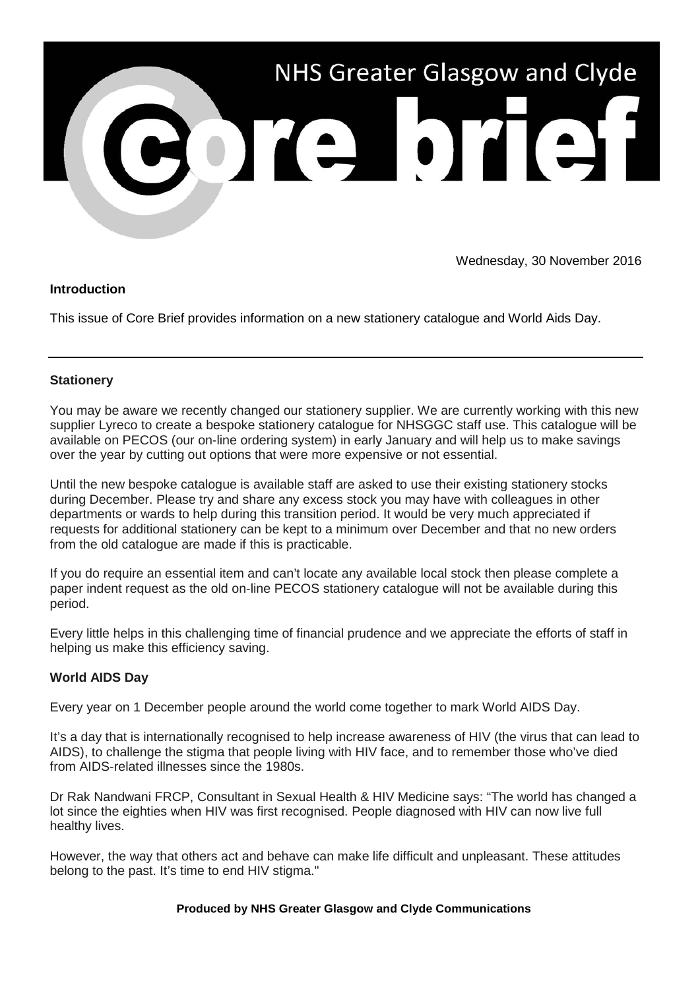

Wednesday, 30 November 2016

# **Introduction**

This issue of Core Brief provides information on a new stationery catalogue and World Aids Day.

# **Stationery**

You may be aware we recently changed our stationery supplier. We are currently working with this new supplier Lyreco to create a bespoke stationery catalogue for NHSGGC staff use. This catalogue will be available on PECOS (our on-line ordering system) in early January and will help us to make savings over the year by cutting out options that were more expensive or not essential.

Until the new bespoke catalogue is available staff are asked to use their existing stationery stocks during December. Please try and share any excess stock you may have with colleagues in other departments or wards to help during this transition period. It would be very much appreciated if requests for additional stationery can be kept to a minimum over December and that no new orders from the old catalogue are made if this is practicable.

If you do require an essential item and can't locate any available local stock then please complete a paper indent request as the old on-line PECOS stationery catalogue will not be available during this period.

Every little helps in this challenging time of financial prudence and we appreciate the efforts of staff in helping us make this efficiency saving.

# **World AIDS Day**

Every year on 1 December people around the world come together to mark World AIDS Day.

It's a day that is internationally recognised to help increase awareness of HIV (the virus that can lead to AIDS), to challenge the stigma that people living with HIV face, and to remember those who've died from AIDS-related illnesses since the 1980s.

Dr Rak Nandwani FRCP, Consultant in Sexual Health & HIV Medicine says: "The world has changed a lot since the eighties when HIV was first recognised. People diagnosed with HIV can now live full healthy lives.

However, the way that others act and behave can make life difficult and unpleasant. These attitudes belong to the past. It's time to end HIV stigma."

### **Produced by NHS Greater Glasgow and Clyde Communications**